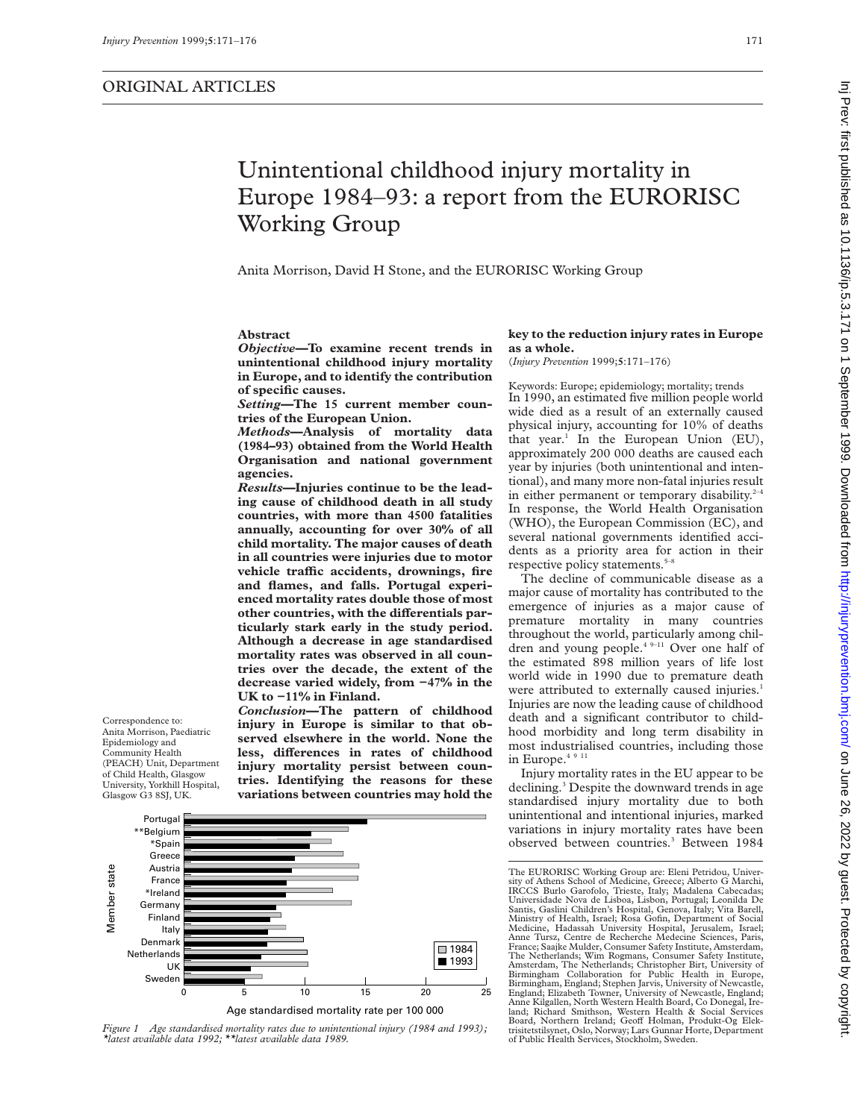Correspondence to: Anita Morrison, Paediatric Epidemiology and Community Health (PEACH) Unit, Department of Child Health, Glasgow University, Yorkhill Hospital, Glasgow G3 8SJ, UK.

# Unintentional childhood injury mortality in Europe 1984–93: a report from the EURORISC Working Group

Anita Morrison, David H Stone, and the EURORISC Working Group

# **Abstract**

*Objective—***To examine recent trends in unintentional childhood injury mortality in Europe, and to identify the contribution of specific causes.**

*Setting***—The 15 current member countries of the European Union.**

*Methods***—Analysis of mortality data (1984–93) obtained from the World Health Organisation and national government agencies.**

*Results***—Injuries continue to be the leading cause of childhood death in all study countries, with more than 4500 fatalities annually, accounting for over 30% of all child mortality. The major causes of death in all countries were injuries due to motor vehicle traYc accidents, drownings, fire and flames, and falls. Portugal experienced mortality rates double those of most** other countries, with the differentials par**ticularly stark early in the study period. Although a decrease in age standardised mortality rates was observed in all countries over the decade, the extent of the decrease varied widely, from −47% in the UK to −11% in Finland.**

*Conclusion***—The pattern of childhood injury in Europe is similar to that observed elsewhere in the world. None the** less, differences in rates of childhood **injury mortality persist between countries. Identifying the reasons for these variations between countries may hold the**



*Figure 1 Age standardised mortality rates due to unintentional injury (1984 and 1993); \*latest available data 1992; \*\*latest available data 1989.*

### **key to the reduction injury rates in Europe as a whole.**

(*Injury Prevention* 1999;**5**:171–176)

Keywords: Europe; epidemiology; mortality; trends In 1990, an estimated five million people world wide died as a result of an externally caused physical injury, accounting for 10% of deaths that year.<sup>1</sup> In the European Union  $(EU)$ , approximately 200 000 deaths are caused each year by injuries (both unintentional and intentional), and many more non-fatal injuries result in either permanent or temporary disability. $2-4$ In response, the World Health Organisation (WHO), the European Commission (EC), and several national governments identified accidents as a priority area for action in their respective policy statements.<sup>5-8</sup>

The decline of communicable disease as a major cause of mortality has contributed to the emergence of injuries as a major cause of premature mortality in many countries throughout the world, particularly among children and young people.4 9–11 Over one half of the estimated 898 million years of life lost world wide in 1990 due to premature death were attributed to externally caused injuries.<sup>1</sup> Injuries are now the leading cause of childhood death and a significant contributor to childhood morbidity and long term disability in most industrialised countries, including those in Europe.<sup>4 9 11</sup>

Injury mortality rates in the EU appear to be declining.3 Despite the downward trends in age standardised injury mortality due to both unintentional and intentional injuries, marked variations in injury mortality rates have been observed between countries.<sup>3</sup> Between 1984

The EURORISC Working Group are: Eleni Petridou, University of Athens School of Medicine, Greece; Alberto G Marchi, IRCCS Burlo Garofolo, Trieste, Italy; Madalena Cabecadas; Universidade Nova de Lisboa, Lisbon, Portugal; Leonilda De Santis, Gaslini Children's Hospital, Genova, Italy; Vita Barell, Ministry of Health, Israel; Rosa Gofin, Department of Social Medicine, Hadassah University Hospital, Jerusalem, Israel; Anne Tursz, Centre de Recherche Medecine Sciences, Paris, France; Saajke Mulder, Consumer Safety Institute, Amsterdam, The Netherlands; Wim Rogmans, Consumer Safety Institute, Amsterdam, The Netherlands; Christopher Birt, University of Birmingham Collaboration for Public Health in Europe, Birmingham, England; Stephen Jarvis, University of Newcastle, England; Elizabeth Towner, University of Newcastle, England; Anne Kilgallen, North Western Health Board, Co Donegal, Ireland; Richard Smithson, Western Health & Social Services<br>Board, Northern Ireland; Geoff Holman, Produkt-Og Elek-<br>trisitetstilsynet,Oslo,Norway;Lars Gunnar Horte,Department of Public Health Services, Stockholm, Sweden.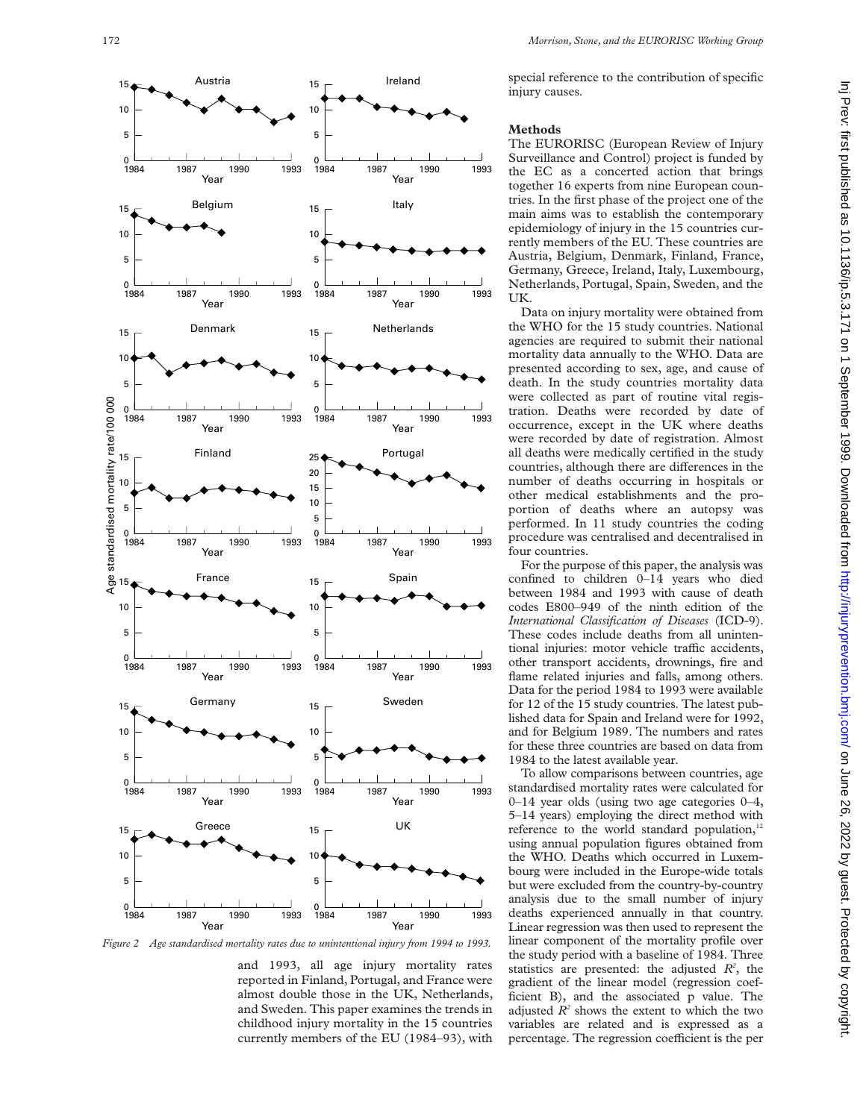

*Figure 2 Age standardised mortality rates due to unintentional injury from 1994 to 1993.*

and 1993, all age injury mortality rates reported in Finland, Portugal, and France were almost double those in the UK, Netherlands, and Sweden. This paper examines the trends in childhood injury mortality in the 15 countries currently members of the EU (1984–93), with special reference to the contribution of specific injury causes.

# **Methods**

The EURORISC (European Review of Injury Surveillance and Control) project is funded by the EC as a concerted action that brings together 16 experts from nine European countries. In the first phase of the project one of the main aims was to establish the contemporary epidemiology of injury in the 15 countries currently members of the EU. These countries are Austria, Belgium, Denmark, Finland, France, Germany, Greece, Ireland, Italy, Luxembourg, Netherlands, Portugal, Spain, Sweden, and the UK.

Data on injury mortality were obtained from the WHO for the 15 study countries. National agencies are required to submit their national mortality data annually to the WHO. Data are presented according to sex, age, and cause of death. In the study countries mortality data were collected as part of routine vital registration. Deaths were recorded by date of occurrence, except in the UK where deaths were recorded by date of registration. Almost all deaths were medically certified in the study countries, although there are differences in the number of deaths occurring in hospitals or other medical establishments and the proportion of deaths where an autopsy was performed. In 11 study countries the coding procedure was centralised and decentralised in four countries.

For the purpose of this paper, the analysis was confined to children 0–14 years who died between 1984 and 1993 with cause of death codes E800–949 of the ninth edition of the *International Classification of Diseases* (ICD-9). These codes include deaths from all unintentional injuries: motor vehicle traffic accidents, other transport accidents, drownings, fire and flame related injuries and falls, among others. Data for the period 1984 to 1993 were available for 12 of the 15 study countries. The latest published data for Spain and Ireland were for 1992, and for Belgium 1989. The numbers and rates for these three countries are based on data from 1984 to the latest available year.

To allow comparisons between countries, age standardised mortality rates were calculated for 0–14 year olds (using two age categories 0–4, 5–14 years) employing the direct method with reference to the world standard population,<sup>12</sup> using annual population figures obtained from the WHO. Deaths which occurred in Luxembourg were included in the Europe-wide totals but were excluded from the country-by-country analysis due to the small number of injury deaths experienced annually in that country. Linear regression was then used to represent the linear component of the mortality profile over the study period with a baseline of 1984. Three statistics are presented: the adjusted  $R^2$ , the gradient of the linear model (regression coefficient B), and the associated p value. The adjusted  $R^2$  shows the extent to which the two variables are related and is expressed as a percentage. The regression coefficient is the per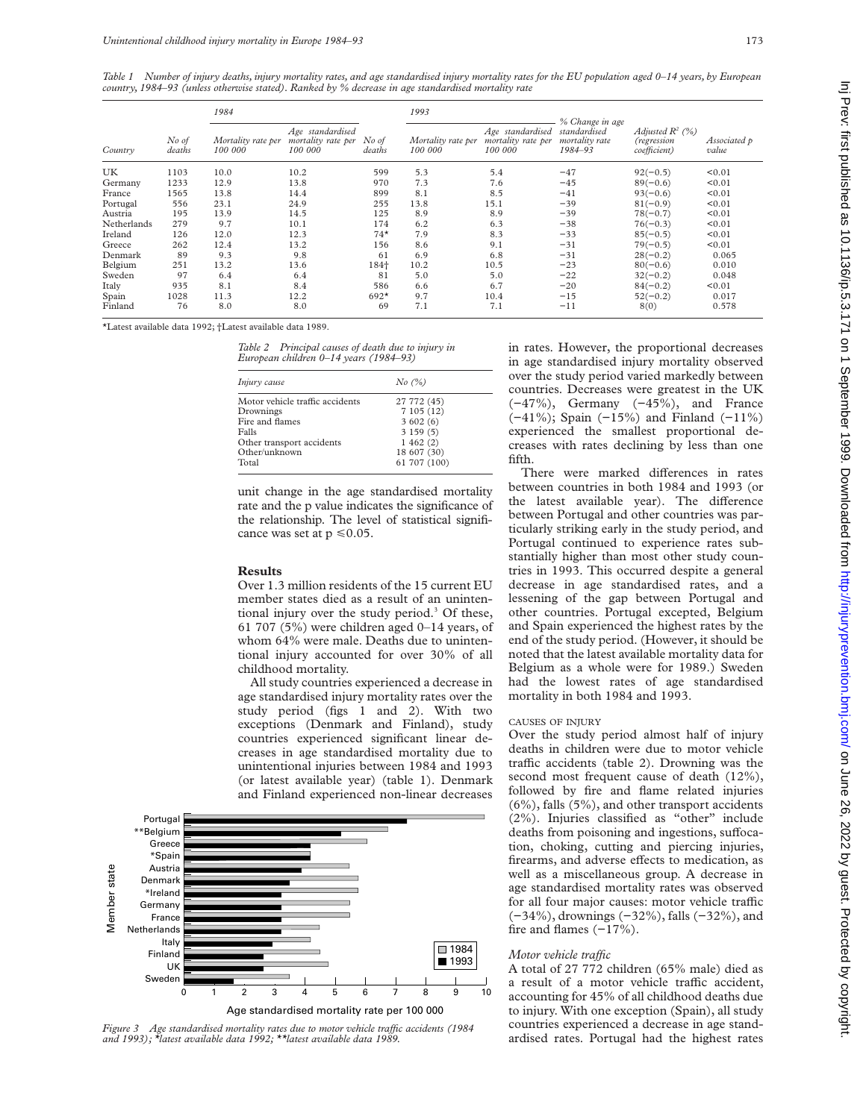*Table 1 Number of injury deaths, injury mortality rates, and age standardised injury mortality rates for the EU population aged 0–14 years, by European country, 1984–93 (unless otherwise stated). Ranked by % decrease in age standardised mortality rate*

|             |                 | 1984                          |                                                   |                 | 1993                          |                                                   | % Change in age                           |                                                   |                       |
|-------------|-----------------|-------------------------------|---------------------------------------------------|-----------------|-------------------------------|---------------------------------------------------|-------------------------------------------|---------------------------------------------------|-----------------------|
| Country     | No of<br>deaths | Mortality rate per<br>100 000 | Age standardised<br>mortality rate per<br>100 000 | No of<br>deaths | Mortality rate per<br>100 000 | Age standardised<br>mortality rate per<br>100 000 | standardised<br>mortality rate<br>1984-93 | Adjusted $R^2$ (%)<br>(regression<br>coefficient) | Associated p<br>value |
| UK          | 1103            | 10.0                          | 10.2                                              | 599             | 5.3                           | 5.4                                               | $-47$                                     | $92(-0.5)$                                        | < 0.01                |
| Germany     | 1233            | 12.9                          | 13.8                                              | 970             | 7.3                           | 7.6                                               | $-45$                                     | $89(-0.6)$                                        | < 0.01                |
| France      | 1565            | 13.8                          | 14.4                                              | 899             | 8.1                           | 8.5                                               | $-41$                                     | $93(-0.6)$                                        | < 0.01                |
| Portugal    | 556             | 23.1                          | 24.9                                              | 255             | 13.8                          | 15.1                                              | $-39$                                     | $81(-0.9)$                                        | < 0.01                |
| Austria     | 195             | 13.9                          | 14.5                                              | 125             | 8.9                           | 8.9                                               | $-39$                                     | $78(-0.7)$                                        | < 0.01                |
| Netherlands | 279             | 9.7                           | 10.1                                              | 174             | 6.2                           | 6.3                                               | $-38$                                     | $76(-0.3)$                                        | < 0.01                |
| Ireland     | 126             | 12.0                          | 12.3                                              | $74*$           | 7.9                           | 8.3                                               | $-33$                                     | $85(-0.5)$                                        | < 0.01                |
| Greece      | 262             | 12.4                          | 13.2                                              | 156             | 8.6                           | 9.1                                               | $-31$                                     | $79(-0.5)$                                        | < 0.01                |
| Denmark     | 89              | 9.3                           | 9.8                                               | 61              | 6.9                           | 6.8                                               | $-31$                                     | $28(-0.2)$                                        | 0.065                 |
| Belgium     | 251             | 13.2                          | 13.6                                              | 184+            | 10.2                          | 10.5                                              | $-23$                                     | $80(-0.6)$                                        | 0.010                 |
| Sweden      | 97              | 6.4                           | 6.4                                               | 81              | 5.0                           | 5.0                                               | $-22$                                     | $32(-0.2)$                                        | 0.048                 |
| Italy       | 935             | 8.1                           | 8.4                                               | 586             | 6.6                           | 6.7                                               | $-20$                                     | $84(-0.2)$                                        | < 0.01                |
| Spain       | 1028            | 11.3                          | 12.2                                              | $692*$          | 9.7                           | 10.4                                              | $-15$                                     | $52(-0.2)$                                        | 0.017                 |
| Finland     | 76              | 8.0                           | 8.0                                               | 69              | 7.1                           | 7.1                                               | $-11$                                     | 8(0)                                              | 0.578                 |

\*Latest available data 1992; †Latest available data 1989.

*Table 2 Principal causes of death due to injury in European children 0–14 years (1984–93)*

| Injury cause                    | No (%)       |  |  |  |
|---------------------------------|--------------|--|--|--|
| Motor vehicle traffic accidents | 27 772 (45)  |  |  |  |
| Drownings                       | 7105(12)     |  |  |  |
| Fire and flames                 | 3602(6)      |  |  |  |
| Falls                           | 3159(5)      |  |  |  |
| Other transport accidents       | 1462(2)      |  |  |  |
| Other/unknown                   | 18 607 (30)  |  |  |  |
| Total                           | 61 707 (100) |  |  |  |

unit change in the age standardised mortality rate and the p value indicates the significance of the relationship. The level of statistical significance was set at  $p \le 0.05$ .

### **Results**

Over 1.3 million residents of the 15 current EU member states died as a result of an unintentional injury over the study period.<sup>3</sup> Of these, 61 707 (5%) were children aged 0–14 years, of whom 64% were male. Deaths due to unintentional injury accounted for over 30% of all childhood mortality.

All study countries experienced a decrease in age standardised injury mortality rates over the study period (figs 1 and 2). With two exceptions (Denmark and Finland), study countries experienced significant linear decreases in age standardised mortality due to unintentional injuries between 1984 and 1993 (or latest available year) (table 1). Denmark and Finland experienced non-linear decreases



Figure 3 Age standardised mortality rates due to motor vehicle traffic accidents (1984 *and 1993); \*latest available data 1992; \*\*latest available data 1989.*

in rates. However, the proportional decreases in age standardised injury mortality observed over the study period varied markedly between countries. Decreases were greatest in the UK (−47%), Germany (−45%), and France (−41%); Spain (−15%) and Finland (−11%) experienced the smallest proportional decreases with rates declining by less than one fifth.

There were marked differences in rates between countries in both 1984 and 1993 (or the latest available year). The difference between Portugal and other countries was particularly striking early in the study period, and Portugal continued to experience rates substantially higher than most other study countries in 1993. This occurred despite a general decrease in age standardised rates, and a lessening of the gap between Portugal and other countries. Portugal excepted, Belgium and Spain experienced the highest rates by the end of the study period. (However, it should be noted that the latest available mortality data for Belgium as a whole were for 1989.) Sweden had the lowest rates of age standardised mortality in both 1984 and 1993.

## CAUSES OF INJURY

Over the study period almost half of injury deaths in children were due to motor vehicle traffic accidents (table 2). Drowning was the second most frequent cause of death (12%), followed by fire and flame related injuries (6%), falls (5%), and other transport accidents (2%). Injuries classified as "other" include deaths from poisoning and ingestions, suffocation, choking, cutting and piercing injuries, firearms, and adverse effects to medication, as well as a miscellaneous group. A decrease in age standardised mortality rates was observed for all four major causes: motor vehicle traffic (−34%), drownings (−32%), falls (−32%), and fire and flames (−17%).

# *Motor vehicle traffic*

A total of 27 772 children (65% male) died as a result of a motor vehicle traffic accident, accounting for 45% of all childhood deaths due to injury. With one exception (Spain), all study countries experienced a decrease in age standardised rates. Portugal had the highest rates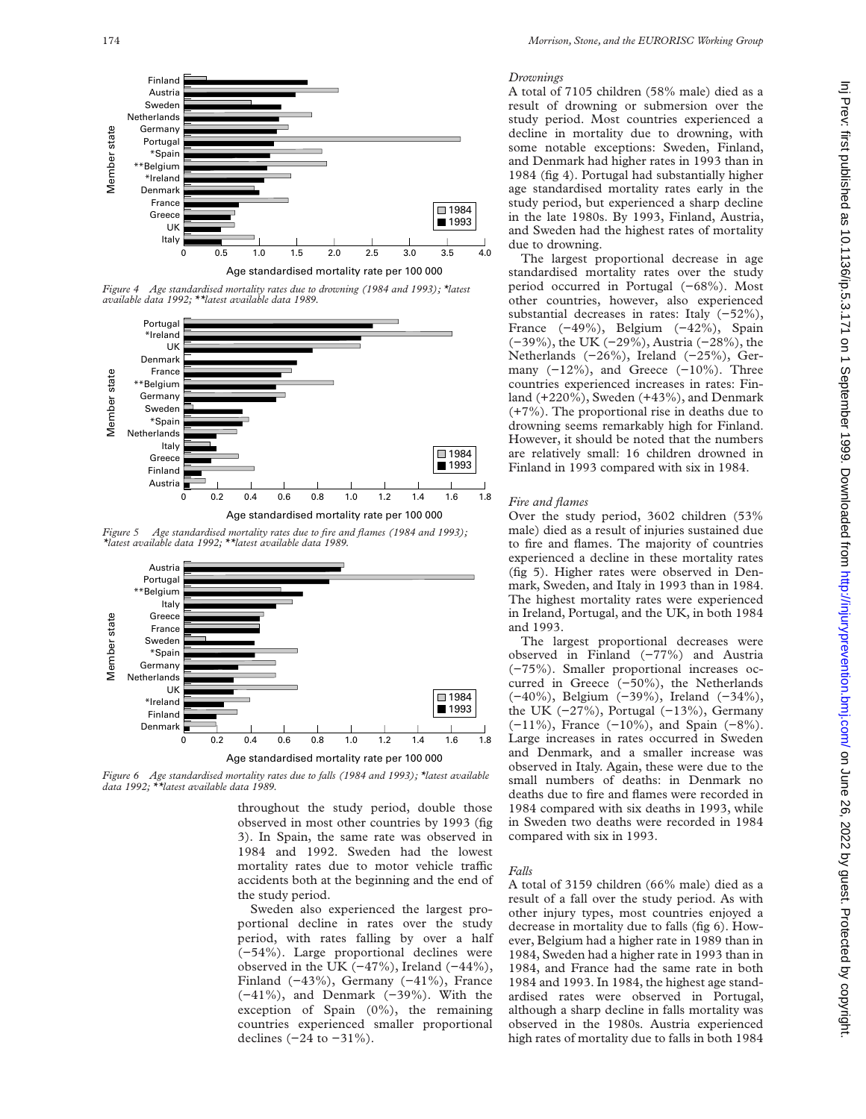

*Figure 4 Age standardised mortality rates due to drowning (1984 and 1993); \*latest available data 1992; \*\*latest available data 1989.*



*Figure 5 Age standardised mortality rates due to fire and flames (1984 and 1993); \*latest available data 1992; \*\*latest available data 1989.*



*Figure 6 Age standardised mortality rates due to falls (1984 and 1993); \*latest available data 1992; \*\*latest available data 1989.*

throughout the study period, double those observed in most other countries by 1993 (fig 3). In Spain, the same rate was observed in 1984 and 1992. Sweden had the lowest mortality rates due to motor vehicle traffic accidents both at the beginning and the end of the study period.

Sweden also experienced the largest proportional decline in rates over the study period, with rates falling by over a half (−54%). Large proportional declines were observed in the UK  $(-47\%)$ , Ireland  $(-44\%)$ , Finland (−43%), Germany (−41%), France (−41%), and Denmark (−39%). With the exception of Spain (0%), the remaining countries experienced smaller proportional declines  $(-24$  to  $-31%$ ).

# *Drownings*

A total of 7105 children (58% male) died as a result of drowning or submersion over the study period. Most countries experienced a decline in mortality due to drowning, with some notable exceptions: Sweden, Finland, and Denmark had higher rates in 1993 than in 1984 (fig 4). Portugal had substantially higher age standardised mortality rates early in the study period, but experienced a sharp decline in the late 1980s. By 1993, Finland, Austria, and Sweden had the highest rates of mortality due to drowning.

The largest proportional decrease in age standardised mortality rates over the study period occurred in Portugal (−68%). Most other countries, however, also experienced substantial decreases in rates: Italy (−52%), France (−49%), Belgium (−42%), Spain (−39%), the UK (−29%), Austria (−28%), the Netherlands (−26%), Ireland (−25%), Germany  $(-12\%)$ , and Greece  $(-10\%)$ . Three countries experienced increases in rates: Finland (+220%), Sweden (+43%), and Denmark (+7%). The proportional rise in deaths due to drowning seems remarkably high for Finland. However, it should be noted that the numbers are relatively small: 16 children drowned in Finland in 1993 compared with six in 1984.

## *Fire and flames*

Over the study period, 3602 children (53% male) died as a result of injuries sustained due to fire and flames. The majority of countries experienced a decline in these mortality rates (fig 5). Higher rates were observed in Denmark, Sweden, and Italy in 1993 than in 1984. The highest mortality rates were experienced in Ireland, Portugal, and the UK, in both 1984 and 1993.

The largest proportional decreases were observed in Finland (−77%) and Austria (−75%). Smaller proportional increases occurred in Greece (−50%), the Netherlands (−40%), Belgium (−39%), Ireland (−34%), the UK (−27%), Portugal (−13%), Germany (−11%), France (−10%), and Spain (−8%). Large increases in rates occurred in Sweden and Denmark, and a smaller increase was observed in Italy. Again, these were due to the small numbers of deaths: in Denmark no deaths due to fire and flames were recorded in 1984 compared with six deaths in 1993, while in Sweden two deaths were recorded in 1984 compared with six in 1993.

#### *Falls*

A total of 3159 children (66% male) died as a result of a fall over the study period. As with other injury types, most countries enjoyed a decrease in mortality due to falls (fig 6). However, Belgium had a higher rate in 1989 than in 1984, Sweden had a higher rate in 1993 than in 1984, and France had the same rate in both 1984 and 1993. In 1984, the highest age standardised rates were observed in Portugal, although a sharp decline in falls mortality was observed in the 1980s. Austria experienced high rates of mortality due to falls in both 1984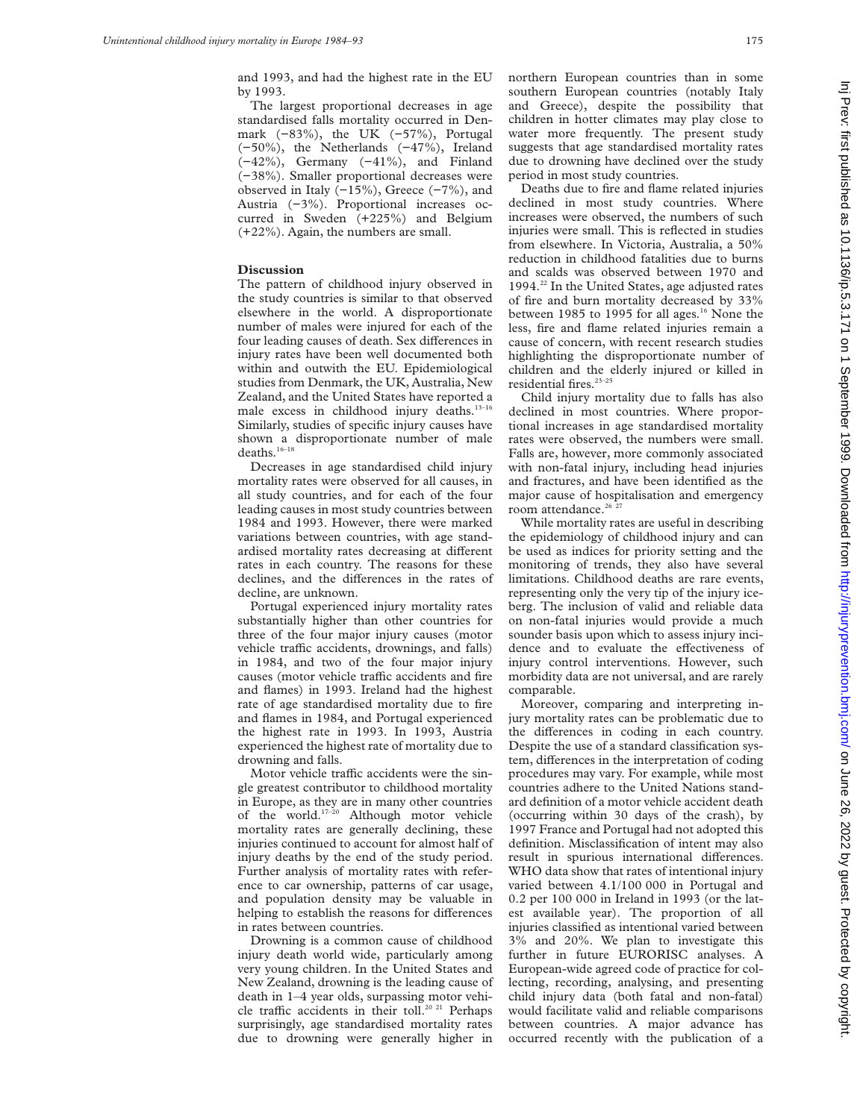and 1993, and had the highest rate in the EU by 1993.

The largest proportional decreases in age standardised falls mortality occurred in Denmark (−83%), the UK (−57%), Portugal (−50%), the Netherlands (−47%), Ireland (−42%), Germany (−41%), and Finland (−38%). Smaller proportional decreases were observed in Italy (−15%), Greece (−7%), and Austria (−3%). Proportional increases occurred in Sweden (+225%) and Belgium (+22%). Again, the numbers are small.

# **Discussion**

The pattern of childhood injury observed in the study countries is similar to that observed elsewhere in the world. A disproportionate number of males were injured for each of the four leading causes of death. Sex differences in injury rates have been well documented both within and outwith the EU. Epidemiological studies from Denmark, the UK, Australia, New Zealand, and the United States have reported a male excess in childhood injury deaths.<sup>13-16</sup> Similarly, studies of specific injury causes have shown a disproportionate number of male deaths. $16-18$ 

Decreases in age standardised child injury mortality rates were observed for all causes, in all study countries, and for each of the four leading causes in most study countries between 1984 and 1993. However, there were marked variations between countries, with age standardised mortality rates decreasing at different rates in each country. The reasons for these declines, and the differences in the rates of decline, are unknown.

Portugal experienced injury mortality rates substantially higher than other countries for three of the four major injury causes (motor vehicle traffic accidents, drownings, and falls) in 1984, and two of the four major injury causes (motor vehicle traffic accidents and fire and flames) in 1993. Ireland had the highest rate of age standardised mortality due to fire and flames in 1984, and Portugal experienced the highest rate in 1993. In 1993, Austria experienced the highest rate of mortality due to drowning and falls.

Motor vehicle traffic accidents were the single greatest contributor to childhood mortality in Europe, as they are in many other countries of the world.17–20 Although motor vehicle mortality rates are generally declining, these injuries continued to account for almost half of injury deaths by the end of the study period. Further analysis of mortality rates with reference to car ownership, patterns of car usage, and population density may be valuable in helping to establish the reasons for differences in rates between countries.

Drowning is a common cause of childhood injury death world wide, particularly among very young children. In the United States and New Zealand, drowning is the leading cause of death in 1–4 year olds, surpassing motor vehicle traffic accidents in their toll.<sup>20 21</sup> Perhaps surprisingly, age standardised mortality rates due to drowning were generally higher in

northern European countries than in some southern European countries (notably Italy and Greece), despite the possibility that children in hotter climates may play close to water more frequently. The present study suggests that age standardised mortality rates due to drowning have declined over the study period in most study countries.

Deaths due to fire and flame related injuries declined in most study countries. Where increases were observed, the numbers of such injuries were small. This is reflected in studies from elsewhere. In Victoria, Australia, a 50% reduction in childhood fatalities due to burns and scalds was observed between 1970 and 1994.<sup>22</sup> In the United States, age adjusted rates of fire and burn mortality decreased by 33% between 1985 to 1995 for all ages.<sup>16</sup> None the less, fire and flame related injuries remain a cause of concern, with recent research studies highlighting the disproportionate number of children and the elderly injured or killed in residential fires.<sup>23-25</sup>

Child injury mortality due to falls has also declined in most countries. Where proportional increases in age standardised mortality rates were observed, the numbers were small. Falls are, however, more commonly associated with non-fatal injury, including head injuries and fractures, and have been identified as the major cause of hospitalisation and emergency room attendance. $26\frac{27}{27}$ 

While mortality rates are useful in describing the epidemiology of childhood injury and can be used as indices for priority setting and the monitoring of trends, they also have several limitations. Childhood deaths are rare events, representing only the very tip of the injury iceberg. The inclusion of valid and reliable data on non-fatal injuries would provide a much sounder basis upon which to assess injury incidence and to evaluate the effectiveness of injury control interventions. However, such morbidity data are not universal, and are rarely comparable.

Moreover, comparing and interpreting injury mortality rates can be problematic due to the differences in coding in each country. Despite the use of a standard classification system, differences in the interpretation of coding procedures may vary. For example, while most countries adhere to the United Nations standard definition of a motor vehicle accident death (occurring within 30 days of the crash), by 1997 France and Portugal had not adopted this definition. Misclassification of intent may also result in spurious international differences. WHO data show that rates of intentional injury varied between 4.1/100 000 in Portugal and 0.2 per 100 000 in Ireland in 1993 (or the latest available year). The proportion of all injuries classified as intentional varied between 3% and 20%. We plan to investigate this further in future EURORISC analyses. A European-wide agreed code of practice for collecting, recording, analysing, and presenting child injury data (both fatal and non-fatal) would facilitate valid and reliable comparisons between countries. A major advance has occurred recently with the publication of a